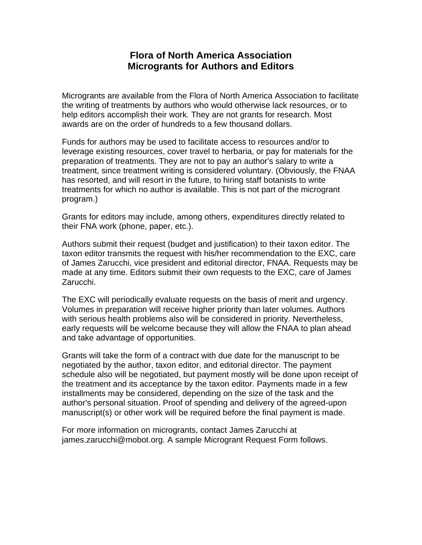# **Flora of North America Association Microgrants for Authors and Editors**

Microgrants are available from the Flora of North America Association to facilitate the writing of treatments by authors who would otherwise lack resources, or to help editors accomplish their work. They are not grants for research. Most awards are on the order of hundreds to a few thousand dollars.

Funds for authors may be used to facilitate access to resources and/or to leverage existing resources, cover travel to herbaria, or pay for materials for the preparation of treatments. They are not to pay an author's salary to write a treatment, since treatment writing is considered voluntary. (Obviously, the FNAA has resorted, and will resort in the future, to hiring staff botanists to write treatments for which no author is available. This is not part of the microgrant program.)

Grants for editors may include, among others, expenditures directly related to their FNA work (phone, paper, etc.).

Authors submit their request (budget and justification) to their taxon editor. The taxon editor transmits the request with his/her recommendation to the EXC, care of James Zarucchi, vice president and editorial director, FNAA. Requests may be made at any time. Editors submit their own requests to the EXC, care of James Zarucchi.

The EXC will periodically evaluate requests on the basis of merit and urgency. Volumes in preparation will receive higher priority than later volumes. Authors with serious health problems also will be considered in priority. Nevertheless, early requests will be welcome because they will allow the FNAA to plan ahead and take advantage of opportunities.

Grants will take the form of a contract with due date for the manuscript to be negotiated by the author, taxon editor, and editorial director. The payment schedule also will be negotiated, but payment mostly will be done upon receipt of the treatment and its acceptance by the taxon editor. Payments made in a few installments may be considered, depending on the size of the task and the author's personal situation. Proof of spending and delivery of the agreed-upon manuscript(s) or other work will be required before the final payment is made.

For more information on microgrants, contact James Zarucchi at james.zarucchi@mobot.org. A sample Microgrant Request Form follows.